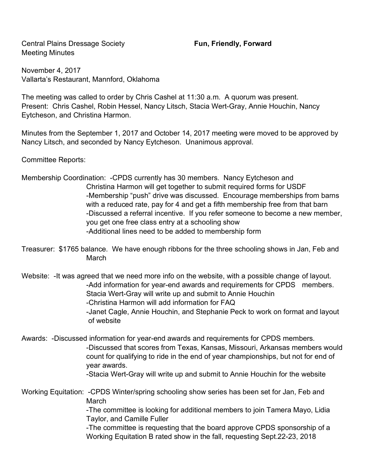Central Plains Dressage Society **Fun, Friendly, Forward** Meeting Minutes

November 4, 2017 Vallarta's Restaurant, Mannford, Oklahoma

The meeting was called to order by Chris Cashel at 11:30 a.m. A quorum was present. Present: Chris Cashel, Robin Hessel, Nancy Litsch, Stacia Wert-Gray, Annie Houchin, Nancy Eytcheson, and Christina Harmon.

Minutes from the September 1, 2017 and October 14, 2017 meeting were moved to be approved by Nancy Litsch, and seconded by Nancy Eytcheson. Unanimous approval.

Committee Reports:

Membership Coordination: -CPDS currently has 30 members. Nancy Eytcheson and Christina Harmon will get together to submit required forms for USDF -Membership "push" drive was discussed. Encourage memberships from barns with a reduced rate, pay for 4 and get a fifth membership free from that barn -Discussed a referral incentive. If you refer someone to become a new member, you get one free class entry at a schooling show -Additional lines need to be added to membership form

Treasurer: \$1765 balance. We have enough ribbons for the three schooling shows in Jan, Feb and March

Website: -It was agreed that we need more info on the website, with a possible change of layout. -Add information for year-end awards and requirements for CPDS members. Stacia Wert-Gray will write up and submit to Annie Houchin -Christina Harmon will add information for FAQ

-Janet Cagle, Annie Houchin, and Stephanie Peck to work on format and layout of website

Awards: -Discussed information for year-end awards and requirements for CPDS members. -Discussed that scores from Texas, Kansas, Missouri, Arkansas members would count for qualifying to ride in the end of year championships, but not for end of year awards. -Stacia Wert-Gray will write up and submit to Annie Houchin for the website

Working Equitation: -CPDS Winter/spring schooling show series has been set for Jan, Feb and March -The committee is looking for additional members to join Tamera Mayo, Lidia Taylor, and Camille Fuller

-The committee is requesting that the board approve CPDS sponsorship of a Working Equitation B rated show in the fall, requesting Sept.22-23, 2018